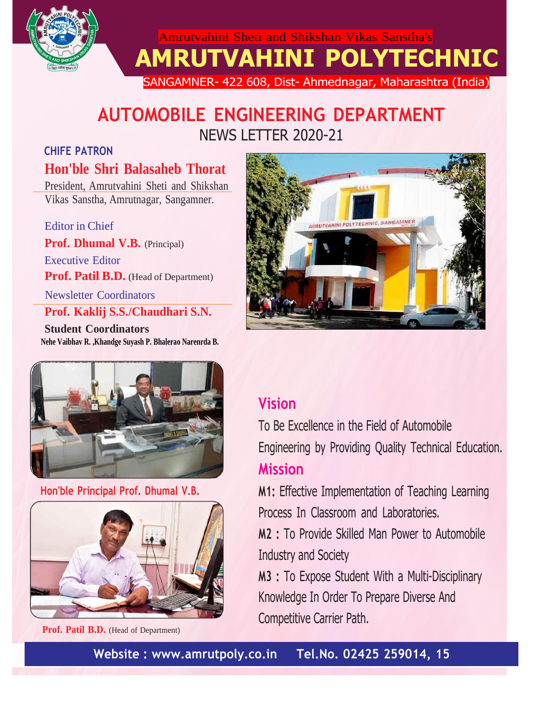

 Amrutvahini Sheti and Shikshan Vikas Sanstha's **AMRUTVAHINI POLYTECHNIC**

SANGAMNER- 422 608, Dist- Ahmednagar, Maharashtra (India)

# **AUTOMOBILE ENGINEERING DEPARTMENT** NEWS LETTER 2020-21

## **CHIFE PATRON**

## **Hon'ble Shri Balasaheb Thorat**

President, Amrutvahini Sheti and Shikshan Vikas Sanstha, Amrutnagar, Sangamner.

Editor in Chief

**Prof. Dhumal V.B.** (Principal)

Executive Editor **Prof. Patil B.D.** (Head of Department)

Newsletter Coordinators

## **Prof. Kaklij S.S./Chaudhari S.N.**

**Student Coordinators Nehe Vaibhav R. ,Khandge Suyash P. Bhalerao Narenrda B.**





## **Hon'ble Principal Prof. Dhumal V.B.**



 **Prof. Patil B.D.** (Head of Department)

## **Vision**

To Be Excellence in the Field of Automobile Engineering by Providing Quality Technical Education. **Mission**

**M1:** Effective Implementation of Teaching Learning Process In Classroom and Laboratories.

**M2 :** To Provide Skilled Man Power to Automobile Industry and Society

**M3 :** To Expose Student With a Multi-Disciplinary Knowledge In Order To Prepare Diverse And Competitive Carrier Path.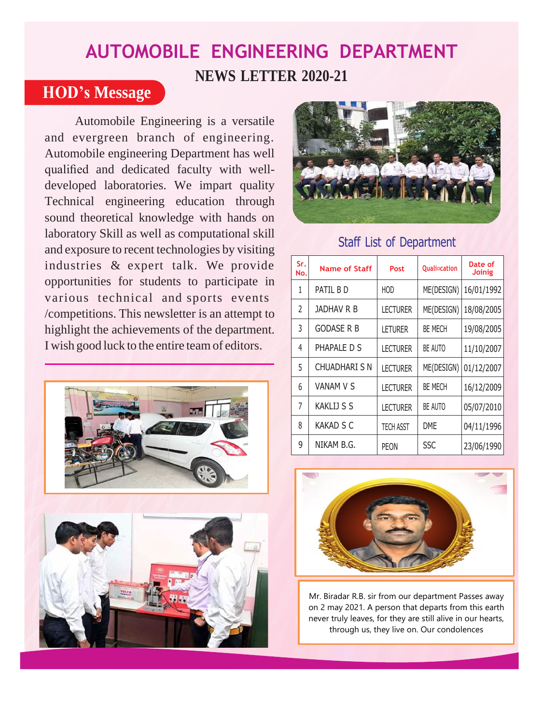# **AUTOMOBILE ENGINEERING DEPARTMENT NEWS LETTER 2020-21**

## **HOD's Message**

Automobile Engineering is a versatile and evergreen branch of engineering. Automobile engineering Department has well qualified and dedicated faculty with welldeveloped laboratories. We impart quality Technical engineering education through sound theoretical knowledge with hands on laboratory Skill as well as computational skill and exposure to recent technologies by visiting industries & expert talk. We provide opportunities for students to participate in various technical and sports events /competitions. This newsletter is an attempt to highlight the achievements of the department. I wish good luck to the entire teamof editors.







## Staff List of Department

| Sr.<br>No. | <b>Name of Staff</b> | Post             | Quali <sup>o</sup> cation | Date of<br><b>Joinig</b> |  |
|------------|----------------------|------------------|---------------------------|--------------------------|--|
| 1          | PATIL B D            | HOD              | ME(DESIGN)                | 16/01/1992               |  |
| C,         | <b>JADHAV R B</b>    | <b>LECTURER</b>  | ME(DESIGN)                | 18/08/2005               |  |
| 3          | <b>GODASE R B</b>    | <b>LETURER</b>   | <b>BE MECH</b>            | 19/08/2005               |  |
| 4          | PHAPALE D S          | <b>LECTURER</b>  | BE AUTO                   | 11/10/2007               |  |
| 5          | <b>CHUADHARI S N</b> | <b>LECTURER</b>  | ME(DESIGN)                | 01/12/2007               |  |
| 6          | <b>VANAM V S</b>     | <b>LECTURER</b>  | <b>BE MECH</b>            | 16/12/2009               |  |
| 7          | <b>KAKLIJ S S</b>    | <b>LECTURER</b>  | BE AUTO                   | 05/07/2010               |  |
| 8          | <b>KAKAD S C</b>     | <b>TECH ASST</b> | <b>DME</b>                | 04/11/1996               |  |
| 9          | NIKAM B.G.           | PEON             | <b>SSC</b>                | 23/06/1990               |  |



Mr. Biradar R.B. sir from our department Passes away on 2 may 2021. A person that departs from this earth never truly leaves, for they are still alive in our hearts, through us, they live on. Our condolences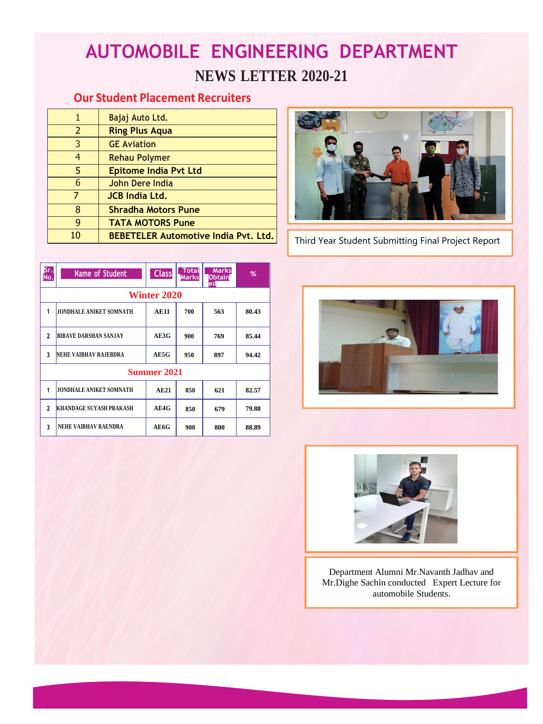# **AUTOMOBILE ENGINEERING DEPARTMENT NEWS LETTER 2020-21**

## **Our Student Placement Recruiters**

| 1              | Bajaj Auto Ltd.                             |
|----------------|---------------------------------------------|
| $\overline{2}$ | <b>Ring Plus Aqua</b>                       |
| 3              | <b>GE Aviation</b>                          |
| $\overline{4}$ | <b>Rehau Polymer</b>                        |
| 5              | <b>Epitome India Pvt Ltd</b>                |
| 6              | John Dere India                             |
|                | <b>JCB India Ltd.</b>                       |
| 8              | <b>Shradha Motors Pune</b>                  |
| g              | <b>TATA MOTORS Pune</b>                     |
| 10             | <b>BEBETELER Automotive India Pvt. Ltd.</b> |

| Sr.<br>No.   | Name of Student                | <b>Class</b> | Total<br><b>Marks</b> | <b>Marks</b><br><b>Obtain</b><br>ed | %     |  |  |  |  |
|--------------|--------------------------------|--------------|-----------------------|-------------------------------------|-------|--|--|--|--|
|              | <b>Winter 2020</b>             |              |                       |                                     |       |  |  |  |  |
| 1            | <b>JONDHALE ANIKET SOMNATH</b> | AE1I         | 700                   | 563                                 | 80.43 |  |  |  |  |
| $\mathbf{2}$ | <b>BIBAVE DARSHAN SANJAY</b>   | AE3G         | 900                   | 769                                 | 85.44 |  |  |  |  |
| 3            | NEHE VAIBHAV RAJEBDRA          | AE5G         | 950                   | 897                                 | 94.42 |  |  |  |  |
| Summer 2021  |                                |              |                       |                                     |       |  |  |  |  |
| 1            | <b>JONDHALE ANIKET SOMNATH</b> | <b>AE21</b>  | 850                   | 621                                 | 82.57 |  |  |  |  |
| $\mathbf{2}$ | <b>KHANDAGE SUYASH PRAKASH</b> | AE4G         | 850                   | 679                                 | 79.88 |  |  |  |  |
| 3            | NEHE VAIBHAV RAENDRA           | AE6G         | 900                   | 800                                 | 88.89 |  |  |  |  |



• Third Year Student Submitting Final Project Report





Department Alumni Mr.Navanth Jadhav and Mr.Dighe Sachin conducted Expert Lecture for automobile Students.